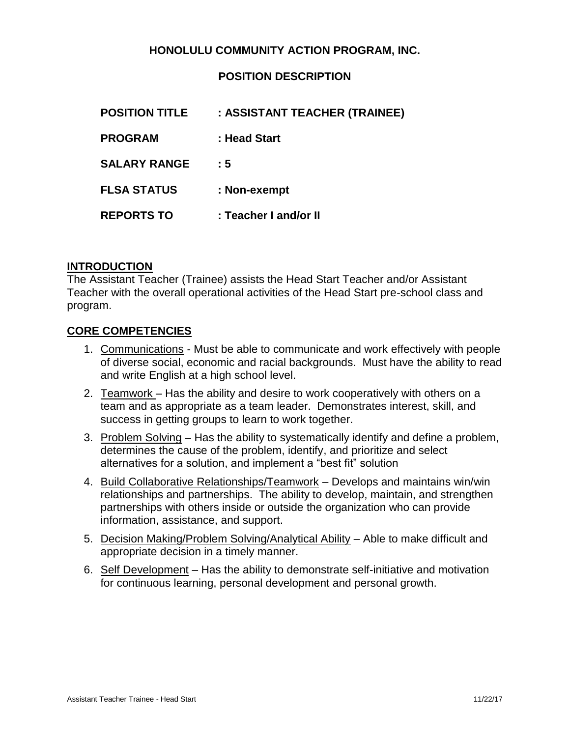## **HONOLULU COMMUNITY ACTION PROGRAM, INC.**

## **POSITION DESCRIPTION**

| <b>POSITION TITLE</b> | : ASSISTANT TEACHER (TRAINEE) |
|-----------------------|-------------------------------|
| <b>PROGRAM</b>        | : Head Start                  |
| <b>SALARY RANGE</b>   | : 5                           |
| <b>FLSA STATUS</b>    | : Non-exempt                  |
| <b>REPORTS TO</b>     | : Teacher I and/or II         |
|                       |                               |

#### **INTRODUCTION**

The Assistant Teacher (Trainee) assists the Head Start Teacher and/or Assistant Teacher with the overall operational activities of the Head Start pre-school class and program.

#### **CORE COMPETENCIES**

- 1. Communications Must be able to communicate and work effectively with people of diverse social, economic and racial backgrounds. Must have the ability to read and write English at a high school level.
- 2. Teamwork Has the ability and desire to work cooperatively with others on a team and as appropriate as a team leader. Demonstrates interest, skill, and success in getting groups to learn to work together.
- 3. Problem Solving Has the ability to systematically identify and define a problem, determines the cause of the problem, identify, and prioritize and select alternatives for a solution, and implement a "best fit" solution
- 4. Build Collaborative Relationships/Teamwork Develops and maintains win/win relationships and partnerships. The ability to develop, maintain, and strengthen partnerships with others inside or outside the organization who can provide information, assistance, and support.
- 5. Decision Making/Problem Solving/Analytical Ability Able to make difficult and appropriate decision in a timely manner.
- 6. Self Development Has the ability to demonstrate self-initiative and motivation for continuous learning, personal development and personal growth.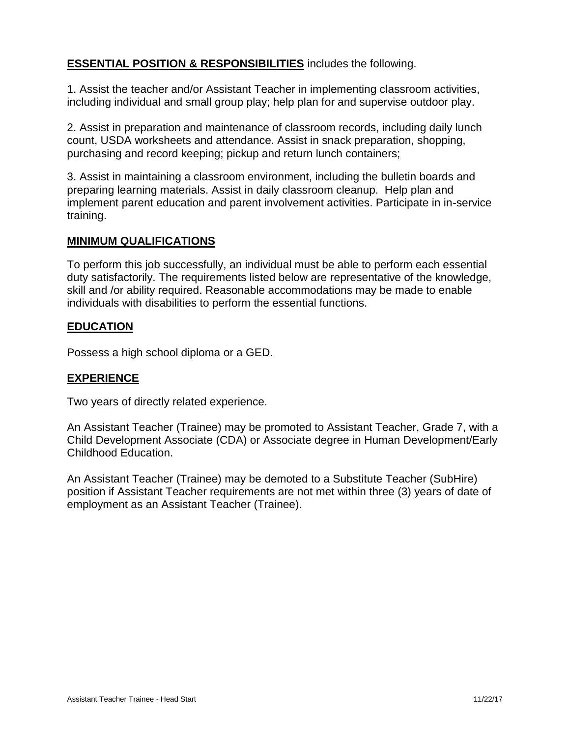## **ESSENTIAL POSITION & RESPONSIBILITIES** includes the following.

1. Assist the teacher and/or Assistant Teacher in implementing classroom activities, including individual and small group play; help plan for and supervise outdoor play.

2. Assist in preparation and maintenance of classroom records, including daily lunch count, USDA worksheets and attendance. Assist in snack preparation, shopping, purchasing and record keeping; pickup and return lunch containers;

3. Assist in maintaining a classroom environment, including the bulletin boards and preparing learning materials. Assist in daily classroom cleanup. Help plan and implement parent education and parent involvement activities. Participate in in-service training.

#### **MINIMUM QUALIFICATIONS**

To perform this job successfully, an individual must be able to perform each essential duty satisfactorily. The requirements listed below are representative of the knowledge, skill and /or ability required. Reasonable accommodations may be made to enable individuals with disabilities to perform the essential functions.

## **EDUCATION**

Possess a high school diploma or a GED.

#### **EXPERIENCE**

Two years of directly related experience.

An Assistant Teacher (Trainee) may be promoted to Assistant Teacher, Grade 7, with a Child Development Associate (CDA) or Associate degree in Human Development/Early Childhood Education.

An Assistant Teacher (Trainee) may be demoted to a Substitute Teacher (SubHire) position if Assistant Teacher requirements are not met within three (3) years of date of employment as an Assistant Teacher (Trainee).